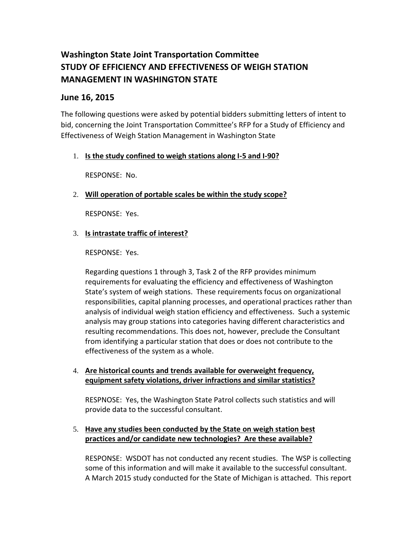# **Washington State Joint Transportation Committee STUDY OF EFFICIENCY AND EFFECTIVENESS OF WEIGH STATION MANAGEMENT IN WASHINGTON STATE**

# **June 16, 2015**

The following questions were asked by potential bidders submitting letters of intent to bid, concerning the Joint Transportation Committee's RFP for a Study of Efficiency and Effectiveness of Weigh Station Management in Washington State

## 1. **Is the study confined to weigh stations along I-5 and I-90?**

RESPONSE: No.

# 2. **Will operation of portable scales be within the study scope?**

RESPONSE: Yes.

## 3. **Is intrastate traffic of interest?**

#### RESPONSE: Yes.

Regarding questions 1 through 3, Task 2 of the RFP provides minimum requirements for evaluating the efficiency and effectiveness of Washington State's system of weigh stations. These requirements focus on organizational responsibilities, capital planning processes, and operational practices rather than analysis of individual weigh station efficiency and effectiveness. Such a systemic analysis may group stations into categories having different characteristics and resulting recommendations. This does not, however, preclude the Consultant from identifying a particular station that does or does not contribute to the effectiveness of the system as a whole.

#### 4. **Are historical counts and trends available for overweight frequency, equipment safety violations, driver infractions and similar statistics?**

RESPNOSE: Yes, the Washington State Patrol collects such statistics and will provide data to the successful consultant.

## 5. **Have any studies been conducted by the State on weigh station best practices and/or candidate new technologies? Are these available?**

RESPONSE: WSDOT has not conducted any recent studies. The WSP is collecting some of this information and will make it available to the successful consultant. A March 2015 study conducted for the State of Michigan is attached. This report